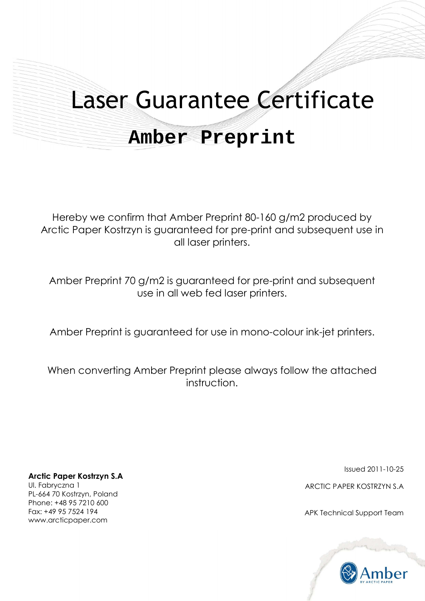# Laser Guarantee Certificate

## **Amber Preprint**

Hereby we confirm that Amber Preprint 80-160 g/m2 produced by Arctic Paper Kostrzyn is guaranteed for pre-print and subsequent use in all laser printers.

Amber Preprint 70 g/m2 is guaranteed for pre-print and subsequent use in all web fed laser printers.

Amber Preprint is guaranteed for use in mono-colour ink-jet printers.

When converting Amber Preprint please always follow the attached instruction.

**Arctic Paper Kostrzyn S.A** 

Ul. Fabryczna 1 PL-664 70 Kostrzyn, Poland Phone: +48 95 7210 600 Fax: +49 95 7524 194 www.arcticpaper.com

Issued 2011-10-25

ARCTIC PAPER KOSTRZYN S.A

APK Technical Support Team